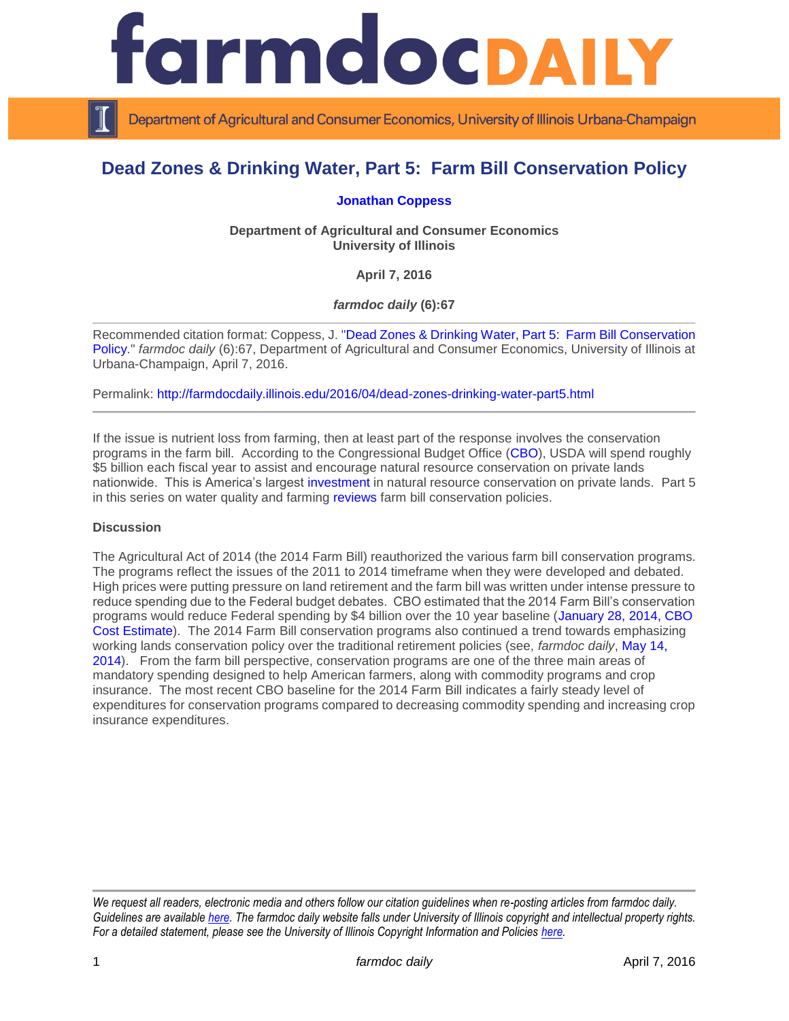

Department of Agricultural and Consumer Economics, University of Illinois Urbana-Champaign

# **Dead Zones & Drinking Water, Part 5: Farm Bill Conservation Policy**

**[Jonathan Coppess](http://www.farmdoc.illinois.edu/coppess/)**

**Department of Agricultural and Consumer Economics University of Illinois**

**April 7, 2016**

*farmdoc daily* **(6):67**

Recommended citation format: Coppess, J. ["Dead Zones & Drinking Water, Part 5: Farm Bill](http://farmdocdaily.illinois.edu/2016/04/dead-zones-drinking-water-part5.html) Conservation [Policy.](http://farmdocdaily.illinois.edu/2016/04/dead-zones-drinking-water-part5.html)" *farmdoc daily* (6):67, Department of Agricultural and Consumer Economics, University of Illinois at Urbana-Champaign, April 7, 2016.

Permalink: <http://farmdocdaily.illinois.edu/2016/04/dead-zones-drinking-water-part5.html>

If the issue is nutrient loss from farming, then at least part of the response involves the conservation programs in the farm bill. According to the Congressional Budget Office [\(CBO\)](https://www.cbo.gov/sites/default/files/51317-2016-03-USDA.pdf), USDA will spend roughly \$5 billion each fiscal year to assist and encourage natural resource conservation on private lands nationwide. This is America's largest [investment](http://www.trcp.org/issues/agriculture#.Vr0JllLAuPs) in natural resource conservation on private lands. Part 5 in this series on water quality and farming [reviews](http://policymatters.illinois.edu/a-brief-history-of-farm-conservation-policy/) farm bill conservation policies.

#### **Discussion**

The Agricultural Act of 2014 (the 2014 Farm Bill) reauthorized the various farm bill conservation programs. The programs reflect the issues of the 2011 to 2014 timeframe when they were developed and debated. High prices were putting pressure on land retirement and the farm bill was written under intense pressure to reduce spending due to the Federal budget debates. CBO estimated that the 2014 Farm Bill's conservation programs would reduce Federal spending by \$4 billion over the 10 year baseline [\(January 28, 2014, CBO](https://www.cbo.gov/publication/45049)  [Cost Estimate\)](https://www.cbo.gov/publication/45049). The 2014 Farm Bill conservation programs also continued a trend towards emphasizing working lands conservation policy over the traditional retirement policies (see, *farmdoc daily*, [May 14,](http://farmdocdaily.illinois.edu/2014/05/2014-farm-bill-conservation-title-ii-programs.html)  [2014\)](http://farmdocdaily.illinois.edu/2014/05/2014-farm-bill-conservation-title-ii-programs.html). From the farm bill perspective, conservation programs are one of the three main areas of mandatory spending designed to help American farmers, along with commodity programs and crop insurance. The most recent CBO baseline for the 2014 Farm Bill indicates a fairly steady level of expenditures for conservation programs compared to decreasing commodity spending and increasing crop insurance expenditures.

*We request all readers, electronic media and others follow our citation guidelines when re-posting articles from farmdoc daily. Guidelines are available [here.](http://farmdocdaily.illinois.edu/citationguide.html) The farmdoc daily website falls under University of Illinois copyright and intellectual property rights. For a detailed statement, please see the University of Illinois Copyright Information and Policies [here.](http://www.cio.illinois.edu/policies/copyright/)*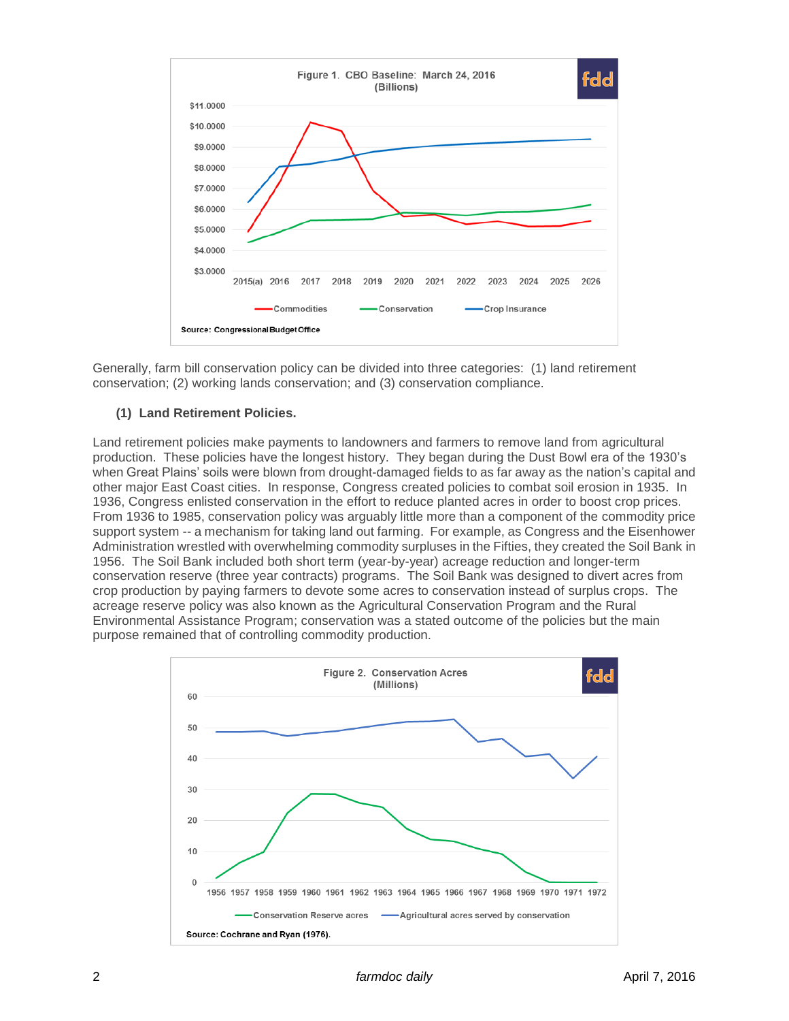

Generally, farm bill conservation policy can be divided into three categories: (1) land retirement conservation; (2) working lands conservation; and (3) conservation compliance.

### **(1) Land Retirement Policies.**

Land retirement policies make payments to landowners and farmers to remove land from agricultural production. These policies have the longest history. They began during the Dust Bowl era of the 1930's when Great Plains' soils were blown from drought-damaged fields to as far away as the nation's capital and other major East Coast cities. In response, Congress created policies to combat soil erosion in 1935. In 1936, Congress enlisted conservation in the effort to reduce planted acres in order to boost crop prices. From 1936 to 1985, conservation policy was arguably little more than a component of the commodity price support system -- a mechanism for taking land out farming. For example, as Congress and the Eisenhower Administration wrestled with overwhelming commodity surpluses in the Fifties, they created the Soil Bank in 1956. The Soil Bank included both short term (year-by-year) acreage reduction and longer-term conservation reserve (three year contracts) programs. The Soil Bank was designed to divert acres from crop production by paying farmers to devote some acres to conservation instead of surplus crops. The acreage reserve policy was also known as the Agricultural Conservation Program and the Rural Environmental Assistance Program; conservation was a stated outcome of the policies but the main purpose remained that of controlling commodity production.

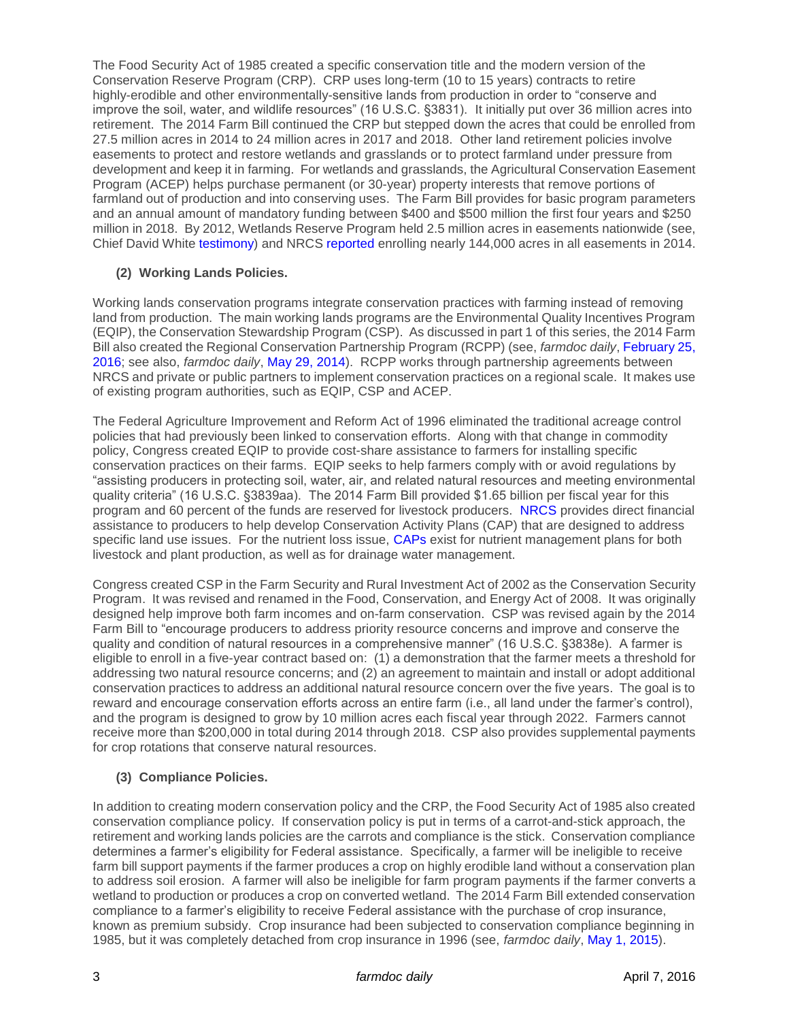The Food Security Act of 1985 created a specific conservation title and the modern version of the Conservation Reserve Program (CRP). CRP uses long-term (10 to 15 years) contracts to retire highly-erodible and other environmentally-sensitive lands from production in order to "conserve and improve the soil, water, and wildlife resources" (16 U.S.C. §3831). It initially put over 36 million acres into retirement. The 2014 Farm Bill continued the CRP but stepped down the acres that could be enrolled from 27.5 million acres in 2014 to 24 million acres in 2017 and 2018. Other land retirement policies involve easements to protect and restore wetlands and grasslands or to protect farmland under pressure from development and keep it in farming. For wetlands and grasslands, the Agricultural Conservation Easement Program (ACEP) helps purchase permanent (or 30-year) property interests that remove portions of farmland out of production and into conserving uses. The Farm Bill provides for basic program parameters and an annual amount of mandatory funding between \$400 and \$500 million the first four years and \$250 million in 2018. By 2012, Wetlands Reserve Program held 2.5 million acres in easements nationwide (see, Chief David White [testimony\)](http://www.agriculture.senate.gov/download/testimony/chief-white-testimony-2-28-12) and NRCS [reported](http://www.nrcs.usda.gov/Internet/NRCS_RCA/reports/srpt_cp_acep.html) enrolling nearly 144,000 acres in all easements in 2014.

## **(2) Working Lands Policies.**

Working lands conservation programs integrate conservation practices with farming instead of removing land from production. The main working lands programs are the Environmental Quality Incentives Program (EQIP), the Conservation Stewardship Program (CSP). As discussed in part 1 of this series, the 2014 Farm Bill also created the Regional Conservation Partnership Program (RCPP) (see, *farmdoc daily*[, February 25,](http://farmdocdaily.illinois.edu/2016/02/dead-zones-drinking-water-part1.html)  [2016;](http://farmdocdaily.illinois.edu/2016/02/dead-zones-drinking-water-part1.html) see also, *farmdoc daily*, [May 29, 2014\)](http://farmdocdaily.illinois.edu/2014/05/the-regional-conservation-partnership-program-in-the-farm-bill.html). RCPP works through partnership agreements between NRCS and private or public partners to implement conservation practices on a regional scale. It makes use of existing program authorities, such as EQIP, CSP and ACEP.

The Federal Agriculture Improvement and Reform Act of 1996 eliminated the traditional acreage control policies that had previously been linked to conservation efforts. Along with that change in commodity policy, Congress created EQIP to provide cost-share assistance to farmers for installing specific conservation practices on their farms. EQIP seeks to help farmers comply with or avoid regulations by "assisting producers in protecting soil, water, air, and related natural resources and meeting environmental quality criteria" (16 U.S.C. §3839aa). The 2014 Farm Bill provided \$1.65 billion per fiscal year for this program and 60 percent of the funds are reserved for livestock producers. [NRCS](http://www.nrcs.usda.gov/wps/portal/nrcs/main/national/programs/financial/eqip/) provides direct financial assistance to producers to help develop Conservation Activity Plans (CAP) that are designed to address specific land use issues. For the nutrient loss issue, [CAPs](http://www.nrcs.usda.gov/wps/portal/nrcs/detail/national/programs/financial/eqip/?cid=nrcseprd401472) exist for nutrient management plans for both livestock and plant production, as well as for drainage water management.

Congress created CSP in the Farm Security and Rural Investment Act of 2002 as the Conservation Security Program. It was revised and renamed in the Food, Conservation, and Energy Act of 2008. It was originally designed help improve both farm incomes and on-farm conservation. CSP was revised again by the 2014 Farm Bill to "encourage producers to address priority resource concerns and improve and conserve the quality and condition of natural resources in a comprehensive manner" (16 U.S.C. §3838e). A farmer is eligible to enroll in a five-year contract based on: (1) a demonstration that the farmer meets a threshold for addressing two natural resource concerns; and (2) an agreement to maintain and install or adopt additional conservation practices to address an additional natural resource concern over the five years. The goal is to reward and encourage conservation efforts across an entire farm (i.e., all land under the farmer's control), and the program is designed to grow by 10 million acres each fiscal year through 2022. Farmers cannot receive more than \$200,000 in total during 2014 through 2018. CSP also provides supplemental payments for crop rotations that conserve natural resources.

## **(3) Compliance Policies.**

In addition to creating modern conservation policy and the CRP, the Food Security Act of 1985 also created conservation compliance policy. If conservation policy is put in terms of a carrot-and-stick approach, the retirement and working lands policies are the carrots and compliance is the stick. Conservation compliance determines a farmer's eligibility for Federal assistance. Specifically, a farmer will be ineligible to receive farm bill support payments if the farmer produces a crop on highly erodible land without a conservation plan to address soil erosion. A farmer will also be ineligible for farm program payments if the farmer converts a wetland to production or produces a crop on converted wetland. The 2014 Farm Bill extended conservation compliance to a farmer's eligibility to receive Federal assistance with the purchase of crop insurance, known as premium subsidy. Crop insurance had been subjected to conservation compliance beginning in 1985, but it was completely detached from crop insurance in 1996 (see, *farmdoc daily*, May [1, 2015\)](http://farmdocdaily.illinois.edu/2015/05/reviewing-usda-revised-conservation.html).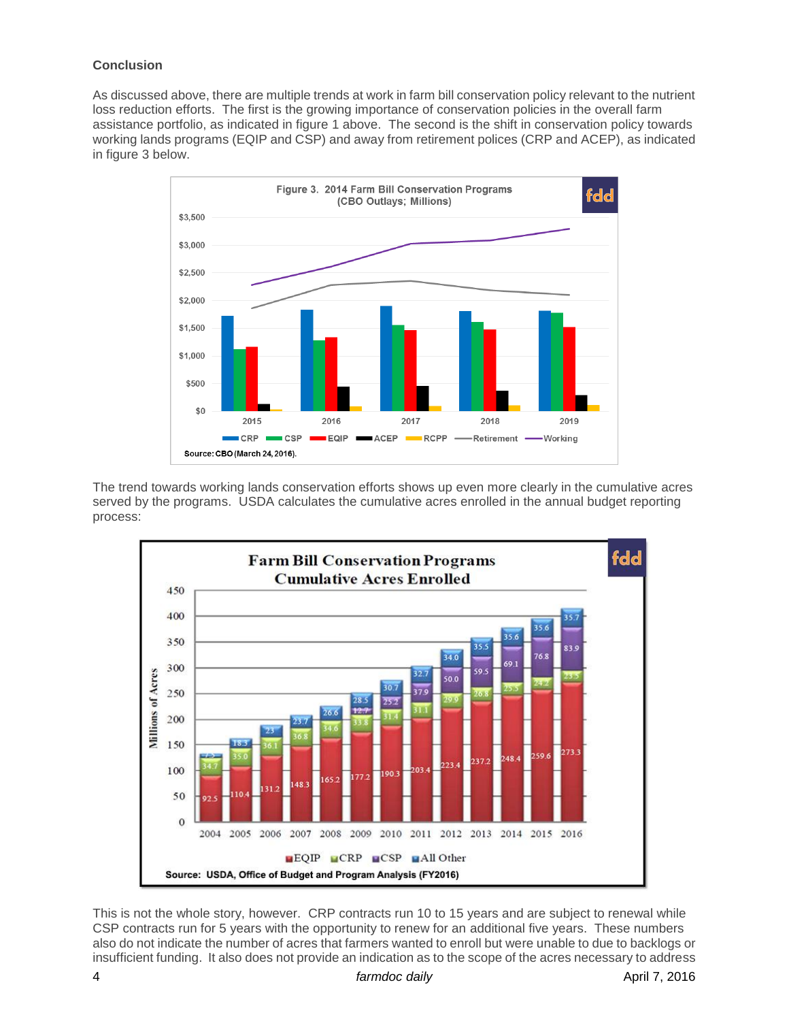## **Conclusion**

As discussed above, there are multiple trends at work in farm bill conservation policy relevant to the nutrient loss reduction efforts. The first is the growing importance of conservation policies in the overall farm assistance portfolio, as indicated in figure 1 above. The second is the shift in conservation policy towards working lands programs (EQIP and CSP) and away from retirement polices (CRP and ACEP), as indicated in figure 3 below.



The trend towards working lands conservation efforts shows up even more clearly in the cumulative acres served by the programs. USDA calculates the cumulative acres enrolled in the annual budget reporting process:



This is not the whole story, however. CRP contracts run 10 to 15 years and are subject to renewal while CSP contracts run for 5 years with the opportunity to renew for an additional five years. These numbers also do not indicate the number of acres that farmers wanted to enroll but were unable to due to backlogs or insufficient funding. It also does not provide an indication as to the scope of the acres necessary to address